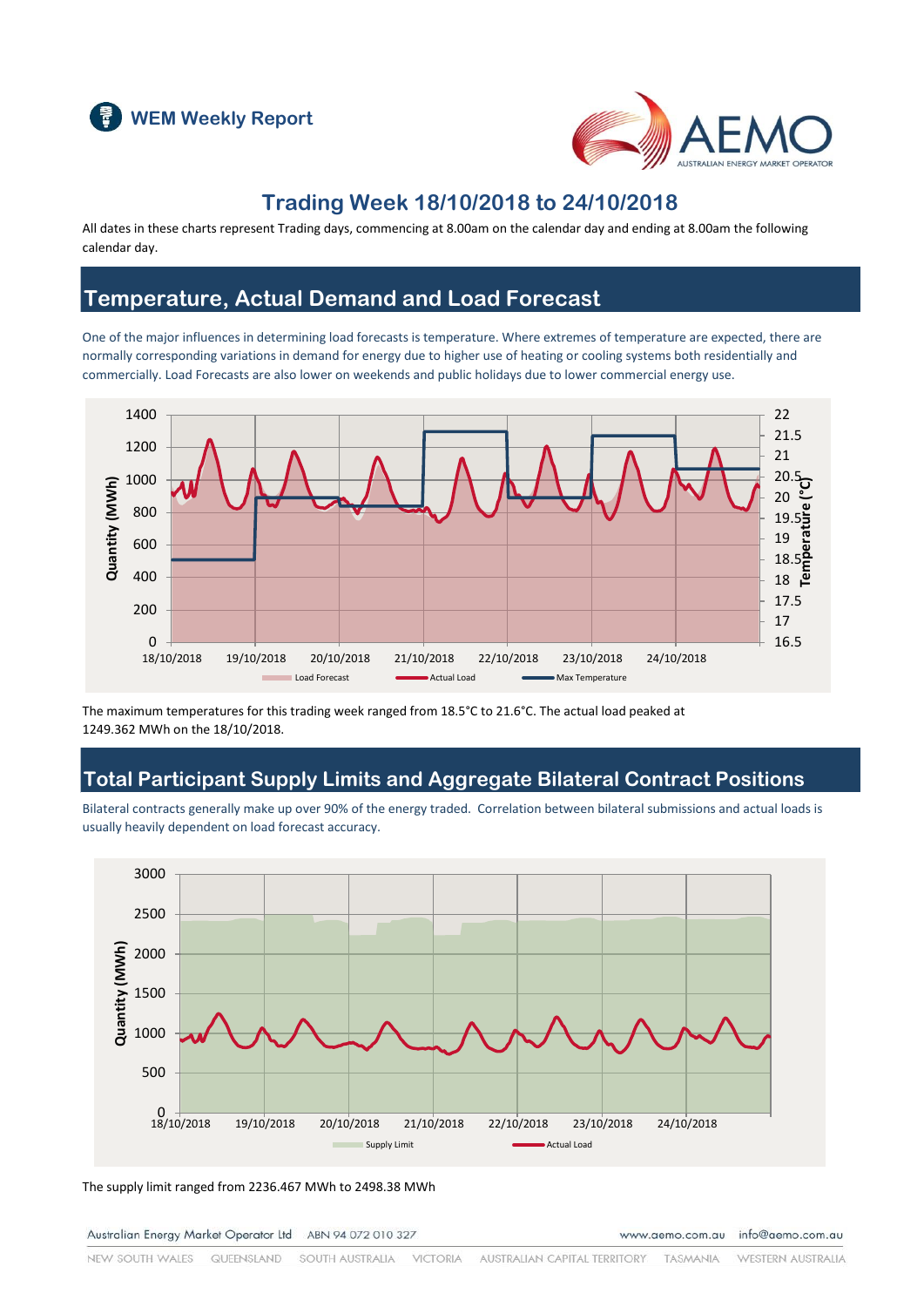



## **Trading Week 18/10/2018 to 24/10/2018**

All dates in these charts represent Trading days, commencing at 8.00am on the calendar day and ending at 8.00am the following calendar day.

## **Temperature, Actual Demand and Load Forecast**

One of the major influences in determining load forecasts is temperature. Where extremes of temperature are expected, there are normally corresponding variations in demand for energy due to higher use of heating or cooling systems both residentially and commercially. Load Forecasts are also lower on weekends and public holidays due to lower commercial energy use.



The maximum temperatures for this trading week ranged from 18.5°C to 21.6°C. The actual load peaked at 1249.362 MWh on the 18/10/2018.

### **Total Participant Supply Limits and Aggregate Bilateral Contract Positions**

Bilateral contracts generally make up over 90% of the energy traded. Correlation between bilateral submissions and actual loads is usually heavily dependent on load forecast accuracy.



The supply limit ranged from 2236.467 MWh to 2498.38 MWh

Australian Energy Market Operator Ltd ABN 94 072 010 327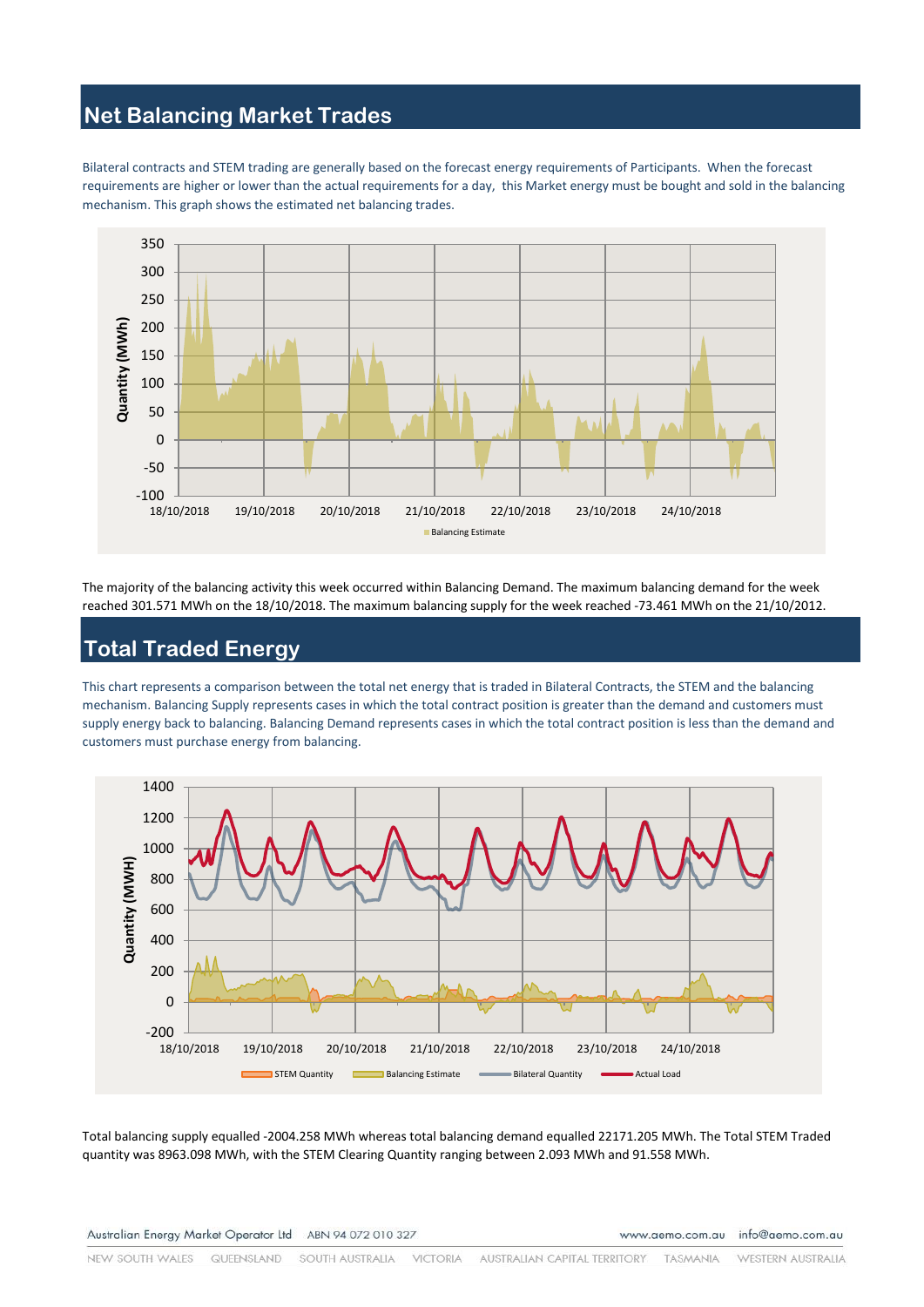## **Net Balancing Market Trades**

Bilateral contracts and STEM trading are generally based on the forecast energy requirements of Participants. When the forecast requirements are higher or lower than the actual requirements for a day, this Market energy must be bought and sold in the balancing mechanism. This graph shows the estimated net balancing trades.



The majority of the balancing activity this week occurred within Balancing Demand. The maximum balancing demand for the week reached 301.571 MWh on the 18/10/2018. The maximum balancing supply for the week reached -73.461 MWh on the 21/10/2012.

# **Total Traded Energy**

This chart represents a comparison between the total net energy that is traded in Bilateral Contracts, the STEM and the balancing mechanism. Balancing Supply represents cases in which the total contract position is greater than the demand and customers must supply energy back to balancing. Balancing Demand represents cases in which the total contract position is less than the demand and customers must purchase energy from balancing.



Total balancing supply equalled -2004.258 MWh whereas total balancing demand equalled 22171.205 MWh. The Total STEM Traded quantity was 8963.098 MWh, with the STEM Clearing Quantity ranging between 2.093 MWh and 91.558 MWh.